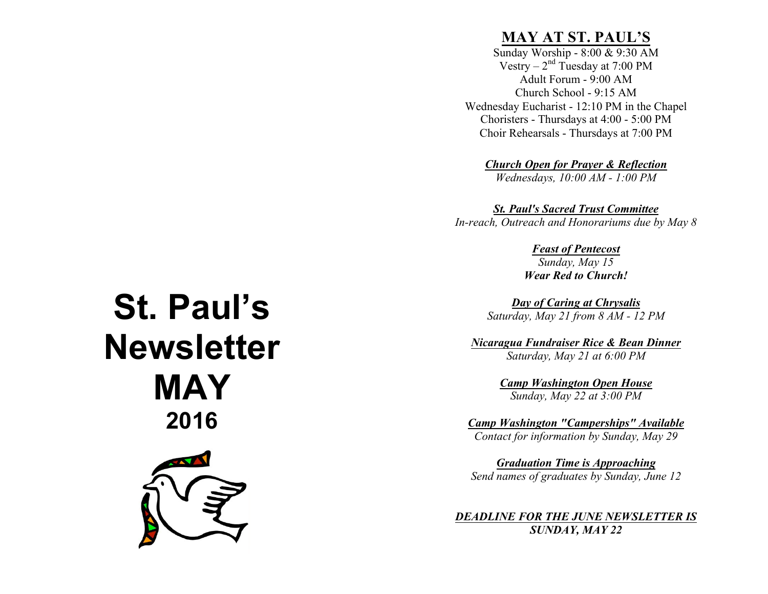## **MAY AT ST. PAUL'S**

Sunday Worship - 8:00 & 9:30 AM Vestry –  $2<sup>nd</sup>$  Tuesday at 7:00 PM Adult Forum - 9:00 AM Church School - 9:15 AM Wednesday Eucharist - 12:10 PM in the Chapel Choristers - Thursdays at 4:00 - 5:00 PM Choir Rehearsals - Thursdays at 7:00 PM

*Church Open for Prayer & Reflection*

*Wednesdays, 10:00 AM - 1:00 PM*

*St. Paul's Sacred Trust Committee*

*In-reach, Outreach and Honorariums due by May 8*

*Feast of Pentecost*

*Sunday, May 15 Wear Red to Church!*

*Day of Caring at Chrysalis Saturday, May 21 from 8 AM - 12 PM*

*Nicaragua Fundraiser Rice & Bean Dinner Saturday, May 21 at 6:00 PM*

> *Camp Washington Open House Sunday, May 22 at 3:00 PM*

*Camp Washington "Camperships" Available Contact for information by Sunday, May 29*

*Graduation Time is Approaching Send names of graduates by Sunday, June 12*

*DEADLINE FOR THE JUNE NEWSLETTER IS SUNDAY, MAY 22*

# **St. Paul's Newsletter MAY 2016**

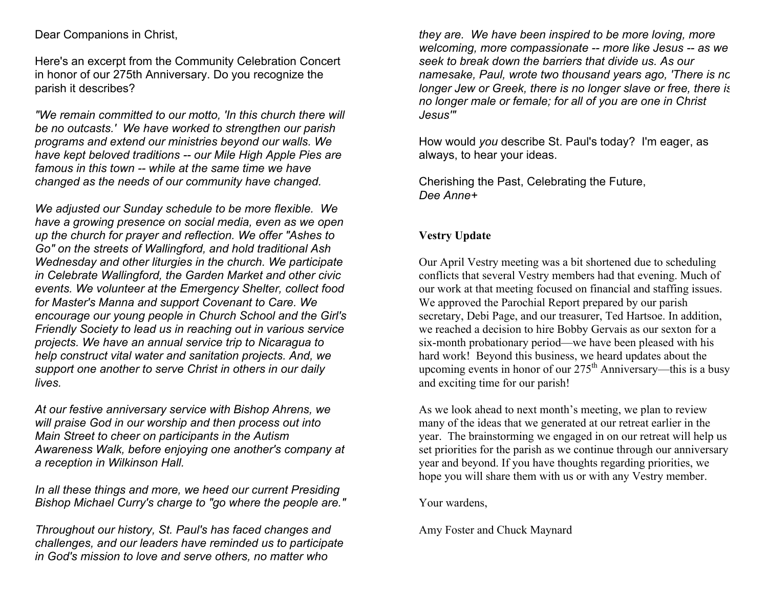#### Dear Companions in Christ,

Here's an excerpt from the Community Celebration Concert in honor of our 275th Anniversary. Do you recognize the parish it describes?

*"We remain committed to our motto, 'In this church there will be no outcasts.' We have worked to strengthen our parish programs and extend our ministries beyond our walls. We have kept beloved traditions -- our Mile High Apple Pies are famous in this town -- while at the same time we have changed as the needs of our community have changed.*

*We adjusted our Sunday schedule to be more flexible. We have a growing presence on social media, even as we open up the church for prayer and reflection. We offer "Ashes to Go" on the streets of Wallingford, and hold traditional Ash Wednesday and other liturgies in the church. We participate in Celebrate Wallingford, the Garden Market and other civic events. We volunteer at the Emergency Shelter, collect food for Master's Manna and support Covenant to Care. We encourage our young people in Church School and the Girl's Friendly Society to lead us in reaching out in various service projects. We have an annual service trip to Nicaragua to help construct vital water and sanitation projects. And, we support one another to serve Christ in others in our daily lives.*

*At our festive anniversary service with Bishop Ahrens, we will praise God in our worship and then process out into Main Street to cheer on participants in the Autism Awareness Walk, before enjoying one another's company at a reception in Wilkinson Hall.*

*In all these things and more, we heed our current Presiding Bishop Michael Curry's charge to "go where the people are."*

*Throughout our history, St. Paul's has faced changes and challenges, and our leaders have reminded us to participate in God's mission to love and serve others, no matter who* 

*they are. We have been inspired to be more loving, more welcoming, more compassionate -- more like Jesus -- as we seek to break down the barriers that divide us. As our namesake, Paul, wrote two thousand years ago, 'There is no longer Jew or Greek, there is no longer slave or free, there is no longer male or female; for all of you are one in Christ Jesus'"*

How would *you* describe St. Paul's today? I'm eager, as always, to hear your ideas.

Cherishing the Past, Celebrating the Future, *Dee Anne+*

#### **Vestry Update**

Our April Vestry meeting was a bit shortened due to scheduling conflicts that several Vestry members had that evening. Much of our work at that meeting focused on financial and staffing issues. We approved the Parochial Report prepared by our parish secretary, Debi Page, and our treasurer, Ted Hartsoe. In addition, we reached a decision to hire Bobby Gervais as our sexton for a six-month probationary period—we have been pleased with his hard work! Beyond this business, we heard updates about the upcoming events in honor of our  $275<sup>th</sup>$  Anniversary—this is a busy and exciting time for our parish!

As we look ahead to next month's meeting, we plan to review many of the ideas that we generated at our retreat earlier in the year. The brainstorming we engaged in on our retreat will help us set priorities for the parish as we continue through our anniversary year and beyond. If you have thoughts regarding priorities, we hope you will share them with us or with any Vestry member.

Your wardens,

Amy Foster and Chuck Maynard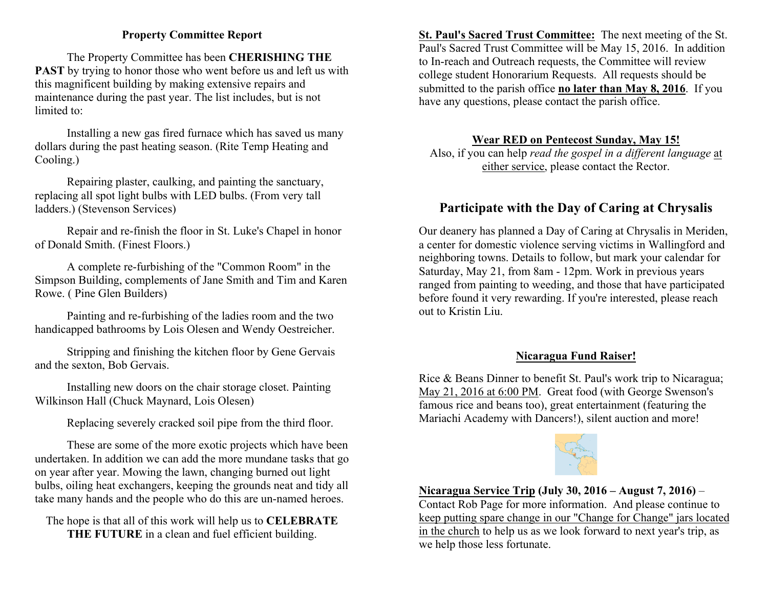#### **Property Committee Report**

 The Property Committee has been **CHERISHING THE PAST** by trying to honor those who went before us and left us with this magnificent building by making extensive repairs and maintenance during the past year. The list includes, but is not limited to:

 Installing a new gas fired furnace which has saved us many dollars during the past heating season. (Rite Temp Heating and Cooling.)

 Repairing plaster, caulking, and painting the sanctuary, replacing all spot light bulbs with LED bulbs. (From very tall ladders.) (Stevenson Services)

 Repair and re-finish the floor in St. Luke's Chapel in honor of Donald Smith. (Finest Floors.)

 A complete re-furbishing of the "Common Room" in the Simpson Building, complements of Jane Smith and Tim and Karen Rowe. ( Pine Glen Builders)

 Painting and re-furbishing of the ladies room and the two handicapped bathrooms by Lois Olesen and Wendy Oestreicher.

 Stripping and finishing the kitchen floor by Gene Gervais and the sexton, Bob Gervais.

 Installing new doors on the chair storage closet. Painting Wilkinson Hall (Chuck Maynard, Lois Olesen)

Replacing severely cracked soil pipe from the third floor.

 These are some of the more exotic projects which have been undertaken. In addition we can add the more mundane tasks that go on year after year. Mowing the lawn, changing burned out light bulbs, oiling heat exchangers, keeping the grounds neat and tidy all take many hands and the people who do this are un-named heroes.

The hope is that all of this work will help us to **CELEBRATE THE FUTURE** in a clean and fuel efficient building.

**St. Paul's Sacred Trust Committee:** The next meeting of the St. Paul's Sacred Trust Committee will be May 15, 2016. In addition to In-reach and Outreach requests, the Committee will review college student Honorarium Requests. All requests should be submitted to the parish office **no later than May 8, 2016**. If you have any questions, please contact the parish office.

#### **Wear RED on Pentecost Sunday, May 15!**

Also, if you can help *read the gospel in a different language* at either service, please contact the Rector.

### **Participate with the Day of Caring at Chrysalis**

Our deanery has planned a Day of Caring at Chrysalis in Meriden, a center for domestic violence serving victims in Wallingford and neighboring towns. Details to follow, but mark your calendar for Saturday, May 21, from 8am - 12pm. Work in previous years ranged from painting to weeding, and those that have participated before found it very rewarding. If you're interested, please reach out to Kristin Liu.

#### **Nicaragua Fund Raiser!**

Rice & Beans Dinner to benefit St. Paul's work trip to Nicaragua; May 21, 2016 at 6:00 PM. Great food (with George Swenson's famous rice and beans too), great entertainment (featuring the Mariachi Academy with Dancers!), silent auction and more!



**Nicaragua Service Trip (July 30, 2016 – August 7, 2016)** –

Contact Rob Page for more information. And please continue to keep putting spare change in our "Change for Change" jars located in the church to help us as we look forward to next year's trip, as we help those less fortunate.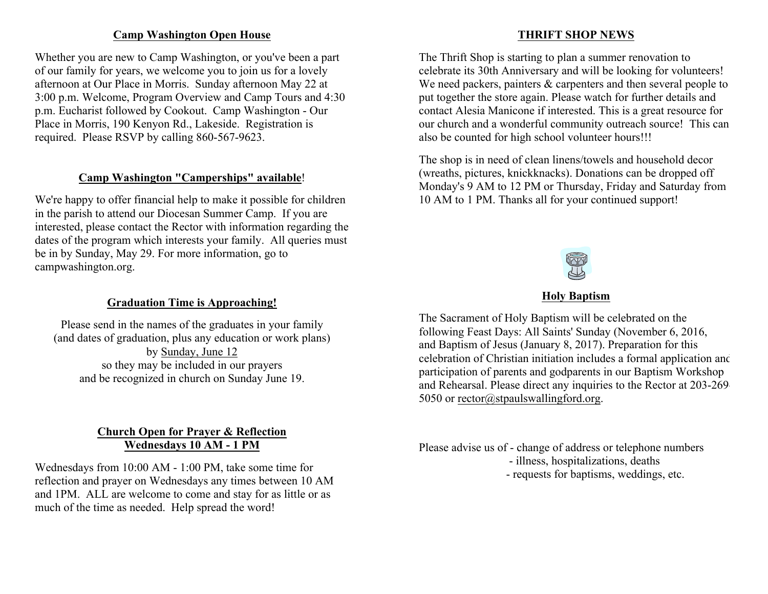#### **Camp Washington Open House**

Whether you are new to Camp Washington, or you've been a part of our family for years, we welcome you to join us for a lovely afternoon at Our Place in Morris. Sunday afternoon May 22 at 3:00 p.m. Welcome, Program Overview and Camp Tours and 4:30 p.m. Eucharist followed by Cookout. Camp Washington - Our Place in Morris, 190 Kenyon Rd., Lakeside. Registration is required. Please RSVP by calling 860-567-9623.

#### **Camp Washington "Camperships" available**!

We're happy to offer financial help to make it possible for children in the parish to attend our Diocesan Summer Camp. If you are interested, please contact the Rector with information regarding the dates of the program which interests your family. All queries must be in by Sunday, May 29. For more information, go to campwashington.org.

#### **Graduation Time is Approaching!**

Please send in the names of the graduates in your family (and dates of graduation, plus any education or work plans) by Sunday, June 12 so they may be included in our prayers and be recognized in church on Sunday June 19.

#### **Church Open for Prayer & Reflection Wednesdays 10 AM - 1 PM**

Wednesdays from 10:00 AM - 1:00 PM, take some time for reflection and prayer on Wednesdays any times between 10 AM and 1PM. ALL are welcome to come and stay for as little or as much of the time as needed. Help spread the word!

#### **THRIFT SHOP NEWS**

The Thrift Shop is starting to plan a summer renovation to celebrate its 30th Anniversary and will be looking for volunteers! We need packers, painters  $\&$  carpenters and then several people to put together the store again. Please watch for further details and contact Alesia Manicone if interested. This is a great resource for our church and a wonderful community outreach source! This can also be counted for high school volunteer hours!!!

The shop is in need of clean linens/towels and household decor (wreaths, pictures, knickknacks). Donations can be dropped off Monday's 9 AM to 12 PM or Thursday, Friday and Saturday from 10 AM to 1 PM. Thanks all for your continued support!



#### **Holy Baptism**

The Sacrament of Holy Baptism will be celebrated on the following Feast Days: All Saints' Sunday (November 6, 2016, and Baptism of Jesus (January 8, 2017). Preparation for this celebration of Christian initiation includes a formal application and participation of parents and godparents in our Baptism Workshop and Rehearsal. Please direct any inquiries to the Rector at 203-269- 5050 or rector@stpaulswallingford.org.

Please advise us of - change of address or telephone numbers

- illness, hospitalizations, deaths
- requests for baptisms, weddings, etc.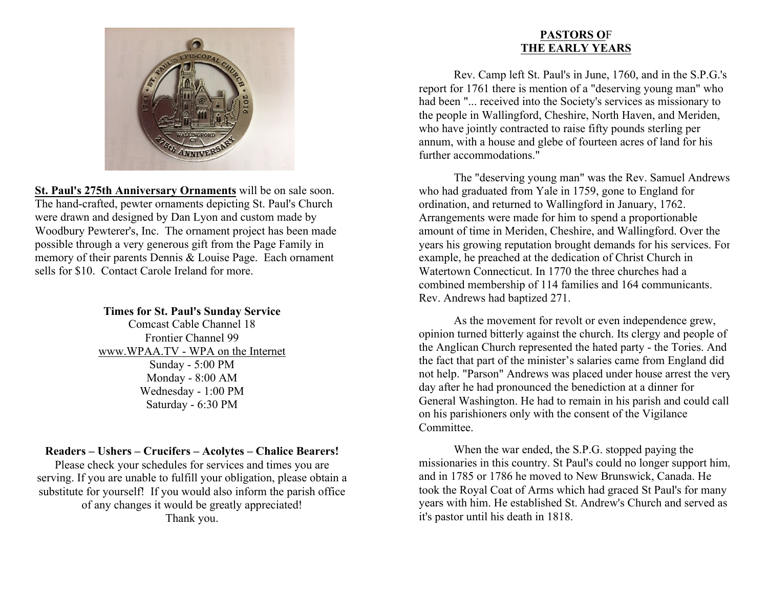

**St. Paul's 275th Anniversary Ornaments** will be on sale soon. The hand-crafted, pewter ornaments depicting St. Paul's Church were drawn and designed by Dan Lyon and custom made by Woodbury Pewterer's, Inc. The ornament project has been made possible through a very generous gift from the Page Family in memory of their parents Dennis & Louise Page. Each ornament sells for \$10. Contact Carole Ireland for more.

#### **Times for St. Paul's Sunday Service**

Comcast Cable Channel 18 Frontier Channel 99 www.WPAA.TV - WPA on the Internet Sunday - 5:00 PM Monday - 8:00 AM Wednesday - 1:00 PM Saturday - 6:30 PM

#### **Readers – Ushers – Crucifers – Acolytes – Chalice Bearers!**

Please check your schedules for services and times you are serving. If you are unable to fulfill your obligation, please obtain a substitute for yourself! If you would also inform the parish office of any changes it would be greatly appreciated! Thank you.

#### **PASTORS O**F **THE EARLY YEARS**

Rev. Camp left St. Paul's in June, 1760, and in the S.P.G.'s report for 1761 there is mention of a "deserving young man" who had been "... received into the Society's services as missionary to the people in Wallingford, Cheshire, North Haven, and Meriden, who have jointly contracted to raise fifty pounds sterling per annum, with a house and glebe of fourteen acres of land for his further accommodations."

The "deserving young man" was the Rev. Samuel Andrews who had graduated from Yale in 1759, gone to England for ordination, and returned to Wallingford in January, 1762. Arrangements were made for him to spend a proportionable amount of time in Meriden, Cheshire, and Wallingford. Over the years his growing reputation brought demands for his services. For example, he preached at the dedication of Christ Church in Watertown Connecticut. In 1770 the three churches had a combined membership of 114 families and 164 communicants. Rev. Andrews had baptized 271.

As the movement for revolt or even independence grew, opinion turned bitterly against the church. Its clergy and people of the Anglican Church represented the hated party - the Tories. And the fact that part of the minister's salaries came from England did not help. "Parson" Andrews was placed under house arrest the very day after he had pronounced the benediction at a dinner for General Washington. He had to remain in his parish and could call on his parishioners only with the consent of the Vigilance **Committee** 

When the war ended, the S.P.G. stopped paying the missionaries in this country. St Paul's could no longer support him, and in 1785 or 1786 he moved to New Brunswick, Canada. He took the Royal Coat of Arms which had graced St Paul's for many years with him. He established St. Andrew's Church and served as it's pastor until his death in 1818.